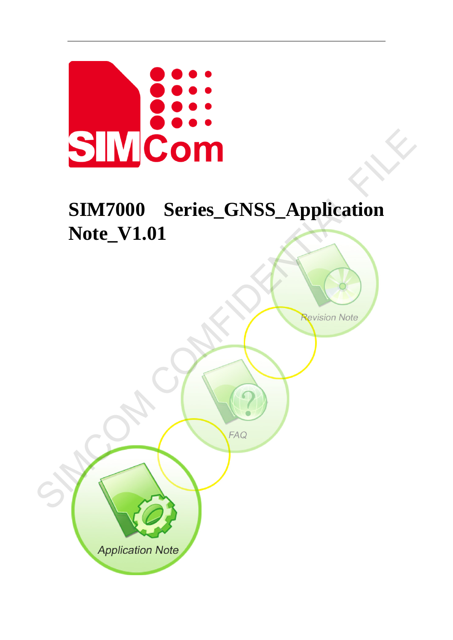

# **SIM7000 Series\_GNSS\_Application Note\_V1.01** SIM7000 Series\_GNSS\_Application<br>Note\_V1.01<br>(Note\_V1.01)

**Application Note**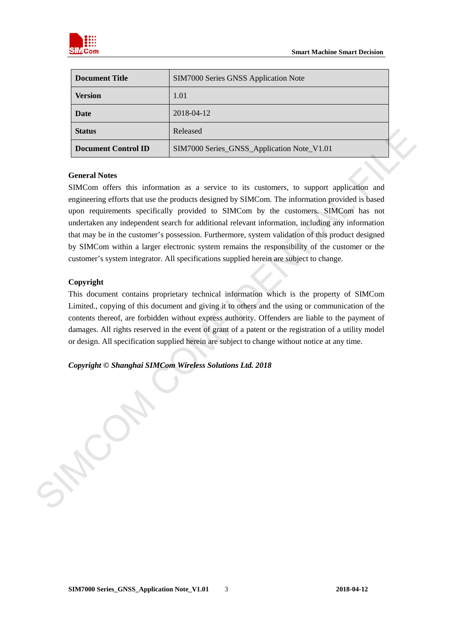

| <b>Document Title</b>      | SIM7000 Series GNSS Application Note       |  |
|----------------------------|--------------------------------------------|--|
| <b>Version</b>             | 1.01                                       |  |
| Date                       | 2018-04-12                                 |  |
| <b>Status</b>              | Released                                   |  |
| <b>Document Control ID</b> | SIM7000 Series_GNSS_Application Note_V1.01 |  |

#### **General Notes**

SIMCom offers this information as a service to its customers, to support application and engineering efforts that use the products designed by SIMCom. The information provided is based upon requirements specifically provided to SIMCom by the customers. SIMCom has not undertaken any independent search for additional relevant information, including any information that may be in the customer's possession. Furthermore, system validation of this product designed by SIMCom within a larger electronic system remains the responsibility of the customer or the customer's system integrator. All specifications supplied herein are subject to change. Status<br>
Released<br>
Document Control ID<br>
SIM7000 Series: GNSS Application Note V1.01<br>
Concern Motes<br>
SIMCom of the this information as a service to its cultomers, to support application and<br>
replaceming efforts that use the

#### **Copyright**

This document contains proprietary technical information which is the property of SIMCom Limited., copying of this document and giving it to others and the using or communication of the contents thereof, are forbidden without express authority. Offenders are liable to the payment of damages. All rights reserved in the event of grant of a patent or the registration of a utility model or design. All specification supplied herein are subject to change without notice at any time.

*Copyright © Shanghai SIMCom Wireless Solutions Ltd. 2018*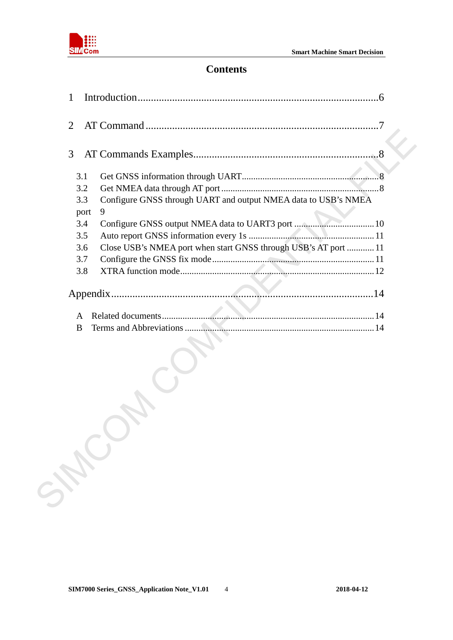

### **Contents**

| 1              |                                                                 |
|----------------|-----------------------------------------------------------------|
| $\overline{2}$ |                                                                 |
| 3              |                                                                 |
| 3.1            |                                                                 |
| 3.2            |                                                                 |
| 3.3            | Configure GNSS through UART and output NMEA data to USB's NMEA  |
| port           | 9                                                               |
| 3.4            |                                                                 |
| 3.5            |                                                                 |
| 3.6            | Close USB's NMEA port when start GNSS through USB's AT port  11 |
| 3.7            |                                                                 |
| 3.8            |                                                                 |
| A              |                                                                 |
| B              |                                                                 |
| SHOO           |                                                                 |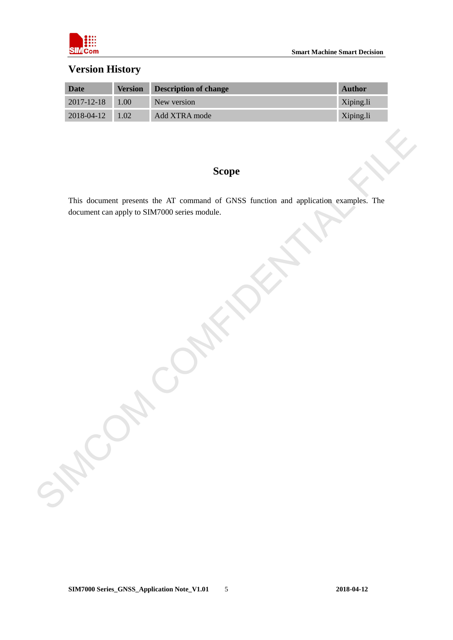

## **Version History**

| Date             | <b>Version</b>    | <b>Description of change</b> | <b>Author</b> |
|------------------|-------------------|------------------------------|---------------|
| $2017 - 12 - 18$ | 1.00              | New version                  | Xiping.li     |
| $2018 - 04 - 12$ | 1.02 <sup>7</sup> | Add XTRA mode                | Xiping.li     |

#### **Scope**

This document presents the AT command of GNSS function and application examples. The document can apply to SIM7000 series module. SIMCOM COMFIDENTIAL FILE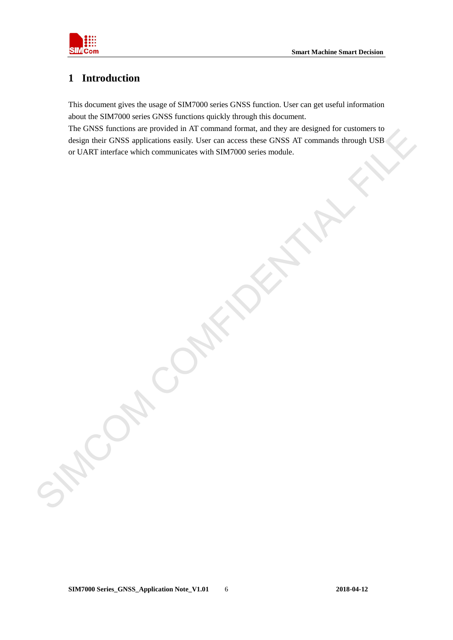

# <span id="page-4-0"></span>**1 Introduction**

This document gives the usage of SIM7000 series GNSS function. User can get useful information about the SIM7000 series GNSS functions quickly through this document.

The GNSS functions are provided in AT command format, and they are designed for customers to design their GNSS applications easily. User can access these GNSS AT commands through USB or UART interface which communicates with SIM7000 series module. Fig. Gives a since GNSS applications and y counter can use our GNSS all community through USBS<br>design there GNSS applications analy User can use can be considered with SIM7000 series module.<br>for UART interface which commun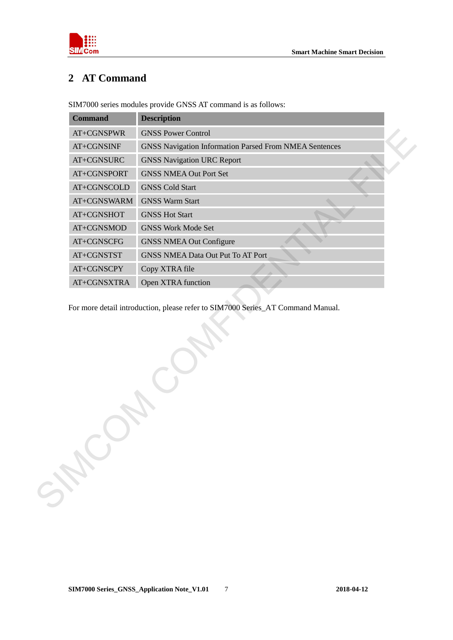

# <span id="page-5-0"></span>**2 AT Command**

SIM7000 series modules provide GNSS AT command is as follows:

| <b>Command</b> | <b>Description</b>                                            |
|----------------|---------------------------------------------------------------|
| AT+CGNSPWR     | <b>GNSS Power Control</b>                                     |
| $AT+CGNSINF$   | <b>GNSS Navigation Information Parsed From NMEA Sentences</b> |
| AT+CGNSURC     | <b>GNSS Navigation URC Report</b>                             |
| AT+CGNSPORT    | <b>GNSS NMEA Out Port Set</b>                                 |
| AT+CGNSCOLD    | <b>GNSS Cold Start</b>                                        |
| AT+CGNSWARM    | <b>GNSS Warm Start</b>                                        |
| AT+CGNSHOT     | <b>GNSS Hot Start</b>                                         |
| AT+CGNSMOD     | <b>GNSS Work Mode Set</b>                                     |
| AT+CGNSCFG     | <b>GNSS NMEA Out Configure</b>                                |
| AT+CGNSTST     | <b>GNSS NMEA Data Out Put To AT Port</b>                      |
| AT+CGNSCPY     | Copy XTRA file                                                |
| AT+CGNSXTRA    | Open XTRA function                                            |

For more detail introduction, please refer to SIM7000 Series\_AT Command Manual.

SIMCOM COM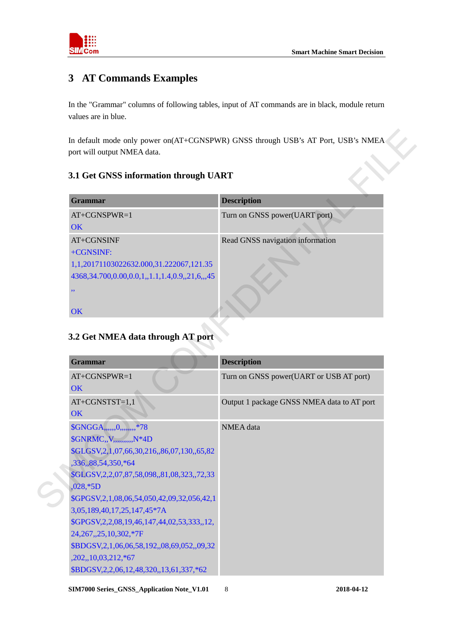

# <span id="page-6-0"></span>**3 AT Commands Examples**

In the "Grammar" columns of following tables, input of AT commands are in black, module return values are in blue.

#### <span id="page-6-1"></span>**3.1 Get GNSS information through UART**

| <b>Grammar</b>                                         | <b>Description</b>               |
|--------------------------------------------------------|----------------------------------|
| $AT+CGNSPWR=1$                                         | Turn on GNSS power(UART port)    |
| <b>OK</b>                                              |                                  |
| AT+CGNSINF                                             | Read GNSS navigation information |
| +CGNSINF:                                              |                                  |
| 1,1,20171103022632.000,31.222067,121.35                |                                  |
| 4368, 34.700, 0.00, 0.0, 1, 1.1, 1.4, 0.9, 21, 6, , 45 |                                  |
| ,,                                                     |                                  |
|                                                        |                                  |
| <b>OK</b>                                              |                                  |

### <span id="page-6-2"></span>**3.2 Get NMEA data through AT port**

| Grammar                                                                                                                                | <b>Description</b>                         |
|----------------------------------------------------------------------------------------------------------------------------------------|--------------------------------------------|
| AT+CGNSPWR=1<br>OK                                                                                                                     | Turn on GNSS power(UART port)              |
| AT+CGNSINF<br>+CGNSINF:<br>1,1,20171103022632.000,31.222067,121.35<br>4368, 34.700, 0.00, 0.0, 1, 1.1, 1.4, 0.9, 21, 6, , 45<br>$, \,$ | Read GNSS navigation information           |
| OK                                                                                                                                     |                                            |
|                                                                                                                                        | <b>Description</b>                         |
|                                                                                                                                        | Turn on GNSS power(UART or USB AT port)    |
| Grammar<br>AT+CGNSPWR=1<br>OK<br>AT+CGNSTST=1,1<br>OK<br>\$GNGGA,,,,,,0,,,,,,,,,*78                                                    | Output 1 package GNSS NMEA data to AT port |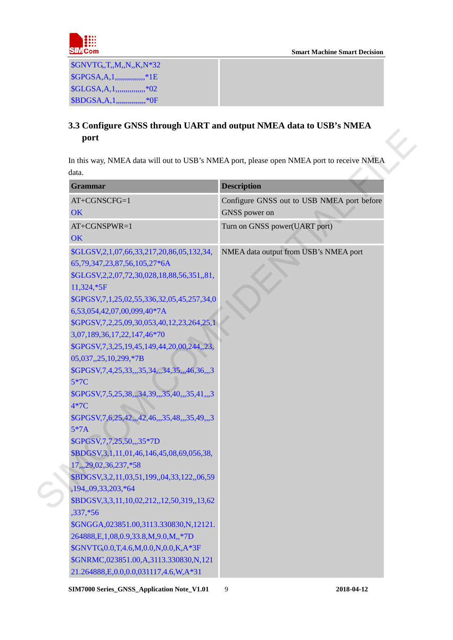

\$GNVTG,,T,,M,,N,,K,N\*32 \$GPGSA,A,1,,,,,,,,,,,,,,,,,\*1E \$GLGSA,A,1,,,,,,,,,,,,,,,\*02 \$BDGSA,A,1,,,,,,,,,,,,,,,,\*0F

#### <span id="page-7-0"></span>**3.3 Configure GNSS through UART and output NMEA data to USB's NMEA port**

| <b>Grammar</b>                                                             | <b>Description</b>                         |
|----------------------------------------------------------------------------|--------------------------------------------|
| AT+CGNSCFG=1                                                               | Configure GNSS out to USB NMEA port before |
| OK                                                                         | GNSS power on                              |
| AT+CGNSPWR=1                                                               | Turn on GNSS power(UART port)              |
| OK                                                                         |                                            |
| \$GLGSV, 2, 1, 07, 66, 33, 217, 20, 86, 05, 132, 34,                       | NMEA data output from USB's NMEA port      |
| 65,79,347,23,87,56,105,27*6A                                               |                                            |
| \$GLGSV, 2, 2, 07, 72, 30, 028, 18, 88, 56, 351, 81,                       |                                            |
| 11,324,*5F                                                                 |                                            |
| \$GPGSV,7,1,25,02,55,336,32,05,45,257,34,0                                 |                                            |
| 6,53,054,42,07,00,099,40*7A                                                |                                            |
| \$GPGSV, 7, 2, 25, 09, 30, 053, 40, 12, 23, 264, 25, 1                     |                                            |
| 3,07,189,36,17,22,147,46*70                                                |                                            |
| \$GPGSV, 7, 3, 25, 19, 45, 149, 44, 20, 00, 244, 23,                       |                                            |
| 05,037,,25,10,299,*7B                                                      |                                            |
| \$GPGSV, 7, 4, 25, 33, , 35, 34, , 34, 35, , 46, 36, , 3                   |                                            |
| 5*7C                                                                       |                                            |
| \$GPGSV, 7, 5, 25, 38, ,, 34, 39, ,, 35, 40, ,, 35, 41, ,, 3               |                                            |
| $4*7C$                                                                     |                                            |
| \$GPGSV, 7, 6, 25, 42, 42, 46, ,, 35, 48, ,, 35, 49, ,, 3                  |                                            |
| $5*7A$                                                                     |                                            |
| \$GPGSV, 7, 7, 25, 50, ,, 35*7D                                            |                                            |
| \$BDGSV,3,1,11,01,46,146,45,08,69,056,38,                                  |                                            |
| 17,,,29,02,36,237,*58                                                      |                                            |
| \$BDGSV, 3, 2, 11, 03, 51, 199, 04, 33, 122, 06, 59                        |                                            |
| ,194,,09,33,203,*64<br>\$BDGSV, 3, 3, 11, 10, 02, 212, 12, 50, 319, 13, 62 |                                            |
| $,337,*56$                                                                 |                                            |
| \$GNGGA,023851.00,3113.330830,N,12121.                                     |                                            |
| 264888, E, 1, 08, 0.9, 33.8, M, 9.0, M, *7D                                |                                            |
| \$GNVTG,0.0,T,4.6,M,0.0,N,0.0,K,A*3F                                       |                                            |
| \$GNRMC,023851.00,A,3113.330830,N,121                                      |                                            |
| 21.264888,E,0.0,0.0,031117,4.6,W,A*31                                      |                                            |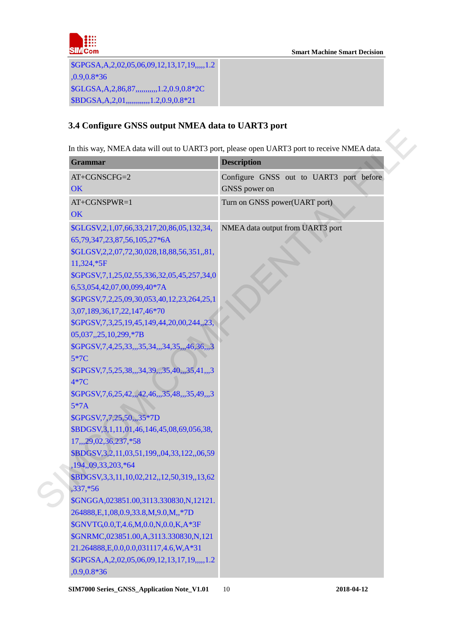

\$GPGSA,A,2,02,05,06,09,12,13,17,19,,,,,1.2 ,0.9,0.8\*36 \$GLGSA,A,2,86,87,,,,,,,,,,,1.2,0.9,0.8\*2C \$BDGSA,A,2,01,,,,,,,,,,,,1.2,0.9,0.8\*21

#### <span id="page-8-0"></span>**3.4 Configure GNSS output NMEA data to UART3 port**

| <b>Grammar</b>                                               | <b>Description</b>                      |
|--------------------------------------------------------------|-----------------------------------------|
| AT+CGNSCFG=2                                                 | Configure GNSS out to UART3 port before |
| OK                                                           | GNSS power on                           |
| AT+CGNSPWR=1                                                 | Turn on GNSS power(UART port)           |
| OK                                                           |                                         |
| \$GLGSV, 2, 1, 07, 66, 33, 217, 20, 86, 05, 132, 34,         | NMEA data output from UART3 port        |
| 65,79,347,23,87,56,105,27*6A                                 |                                         |
| \$GLGSV, 2, 2, 07, 72, 30, 028, 18, 88, 56, 351, 81,         |                                         |
| 11,324,*5F                                                   |                                         |
| \$GPGSV,7,1,25,02,55,336,32,05,45,257,34,0                   |                                         |
| 6,53,054,42,07,00,099,40*7A                                  |                                         |
| \$GPGSV, 7, 2, 25, 09, 30, 053, 40, 12, 23, 264, 25, 1       |                                         |
| 3,07,189,36,17,22,147,46*70                                  |                                         |
| \$GPGSV, 7, 3, 25, 19, 45, 149, 44, 20, 00, 244, 23,         |                                         |
| 05,037,,25,10,299,*7B                                        |                                         |
| \$GPGSV, 7, 4, 25, 33, ,, 35, 34, ,, 34, 35, ,, 46, 36, ,, 3 |                                         |
| 5*7C                                                         |                                         |
| \$GPGSV, 7, 5, 25, 38, ,, 34, 39, ,, 35, 40, ,, 35, 41, ,, 3 |                                         |
| 4*7C                                                         |                                         |
| \$GPGSV, 7, 6, 25, 42, 42, 46, ,, 35, 48, ,, 35, 49, ,, 3    |                                         |
| $5*7A$                                                       |                                         |
| \$GPGSV, 7, 7, 25, 50, ,, 35*7D                              |                                         |
| \$BDGSV,3,1,11,01,46,146,45,08,69,056,38,                    |                                         |
| 17,,,29,02,36,237,*58                                        |                                         |
| \$BDGSV, 3, 2, 11, 03, 51, 199, 04, 33, 122, 06, 59          |                                         |
| ,194,,09,33,203,*64                                          |                                         |
| \$BDGSV, 3, 3, 11, 10, 02, 212, 12, 50, 319, 13, 62          |                                         |
| $,337,*56$                                                   |                                         |
| \$GNGGA,023851.00,3113.330830,N,12121.                       |                                         |
| 264888, E, 1, 08, 0.9, 33.8, M, 9.0, M, *7D                  |                                         |
| \$GNVTG,0.0,T,4.6,M,0.0,N,0.0,K,A*3F                         |                                         |
| \$GNRMC,023851.00,A,3113.330830,N,121                        |                                         |
| 21.264888, E, 0.0, 0.0, 0.31117, 4.6, W, A*31                |                                         |
| \$GPGSA, A, 2, 02, 05, 06, 09, 12, 13, 17, 19, ,,,, 1.2      |                                         |
| $,0.9,0.8*36$                                                |                                         |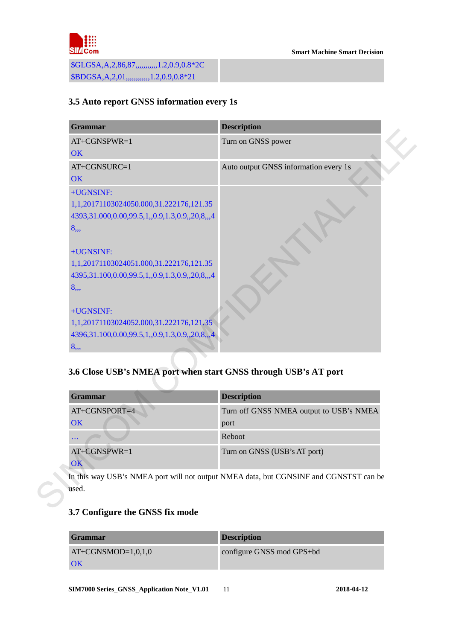

\$GLGSA,A,2,86,87,,,,,,,,,,,1.2,0.9,0.8\*2C \$BDGSA,A,2,01,,,,,,,,,,,,1.2,0.9,0.8\*21

#### <span id="page-9-0"></span>**3.5 Auto report GNSS information every 1s**

| <b>Grammar</b>                                                                         | <b>Description</b>                                                      |
|----------------------------------------------------------------------------------------|-------------------------------------------------------------------------|
| AT+CGNSPWR=1                                                                           | Turn on GNSS power                                                      |
| <b>OK</b>                                                                              |                                                                         |
| AT+CGNSURC=1                                                                           | Auto output GNSS information every 1s                                   |
| <b>OK</b>                                                                              |                                                                         |
| +UGNSINF:                                                                              |                                                                         |
| 1,1,20171103024050.000,31.222176,121.35                                                |                                                                         |
| 4393,31.000,0.00,99.5,1,,0.9,1.3,0.9,,20,8,,,4                                         |                                                                         |
| 8,,,                                                                                   |                                                                         |
|                                                                                        |                                                                         |
| +UGNSINF:                                                                              |                                                                         |
| 1,1,20171103024051.000,31.222176,121.35                                                |                                                                         |
| 4395,31.100,0.00,99.5,1,,0.9,1.3,0.9,,20,8,,,4                                         |                                                                         |
| 8,,,                                                                                   |                                                                         |
| +UGNSINF:                                                                              |                                                                         |
| 1,1,20171103024052.000,31.222176,121.35                                                |                                                                         |
| 4396,31.100,0.00,99.5,1,,0.9,1.3,0.9,,20,8,,,4                                         |                                                                         |
| 8, 8                                                                                   |                                                                         |
|                                                                                        |                                                                         |
|                                                                                        | <b>Description</b>                                                      |
|                                                                                        |                                                                         |
| <b>Grammar</b><br>OK                                                                   | port                                                                    |
| $\ldots$                                                                               | Reboot                                                                  |
| AT+CGNSPWR=1                                                                           | Turn off GNSS NMEA output to USB's NMEA<br>Turn on GNSS (USB's AT port) |
| 3.6 Close USB's NMEA port when start GNSS through USB's AT port<br>AT+CGNSPORT=4<br>OK |                                                                         |

# <span id="page-9-1"></span>**3.6 Close USB's NMEA port when start GNSS through USB's AT port**

| Grammar        | <b>Description</b>                      |
|----------------|-----------------------------------------|
| AT+CGNSPORT=4  | Turn off GNSS NMEA output to USB's NMEA |
| OK             | port                                    |
| $\cdots$       | Reboot                                  |
| $AT+CGNSPWR=1$ | Turn on GNSS (USB's AT port)            |
| OK             |                                         |

#### <span id="page-9-2"></span>**3.7 Configure the GNSS fix mode**

| <b>Grammar</b>       | <b>Description</b>        |
|----------------------|---------------------------|
| $AT+CGNSMOD=1,0,1,0$ | configure GNSS mod GPS+bd |
| <b>OK</b>            |                           |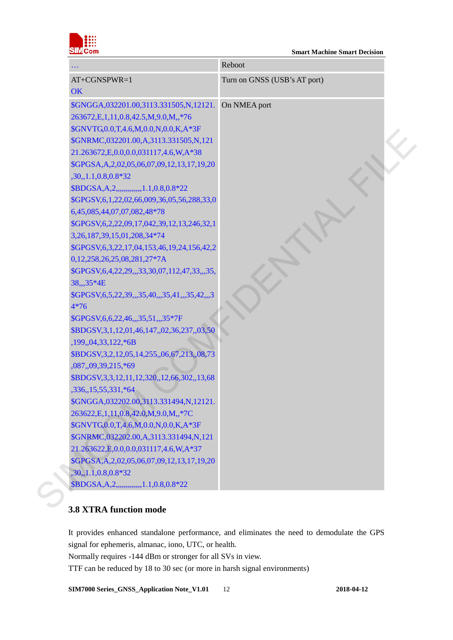

|                                                              | Reboot                       |
|--------------------------------------------------------------|------------------------------|
| AT+CGNSPWR=1                                                 | Turn on GNSS (USB's AT port) |
| OK                                                           |                              |
| \$GNGGA,032201.00,3113.331505,N,12121.                       | On NMEA port                 |
| 263672, E, 1, 11, 0.8, 42.5, M, 9.0, M, *76                  |                              |
| \$GNVTG,0.0,T,4.6,M,0.0,N,0.0,K,A*3F                         |                              |
| \$GNRMC,032201.00,A,3113.331505,N,121                        |                              |
| 21.263672, E, 0.0, 0.0, 0.31117, 4.6, W, A*38                |                              |
| \$GPGSA, A, 2, 02, 05, 06, 07, 09, 12, 13, 17, 19, 20        |                              |
| $,30,1.1,0.8,0.8*32$                                         |                              |
| \$BDGSA, A, 2, ,,,,,,,,,,,,,,,1.1, 0.8, 0.8*22               |                              |
| \$GPGSV,6,1,22,02,66,009,36,05,56,288,33,0                   |                              |
| 6,45,085,44,07,07,082,48*78                                  |                              |
| \$GPGSV, 6, 2, 22, 09, 17, 042, 39, 12, 13, 246, 32, 1       |                              |
| 3, 26, 187, 39, 15, 01, 208, 34*74                           |                              |
| \$GPGSV, 6, 3, 22, 17, 04, 153, 46, 19, 24, 156, 42, 2       |                              |
| 0,12,258,26,25,08,281,27*7A                                  |                              |
| \$GPGSV,6,4,22,29,,,33,30,07,112,47,33,,,35,                 |                              |
| 38,,,35*4E                                                   |                              |
| \$GPGSV, 6, 5, 22, 39, ,, 35, 40, ,, 35, 41, ,, 35, 42, ,, 3 |                              |
| $4*76$                                                       |                              |
| \$GPGSV, 6, 6, 22, 46, ,, 35, 51, ,, 35*7F                   |                              |
| \$BDGSV,3,1,12,01,46,147,,02,36,237,,03,50                   |                              |
| ,199,,04,33,122,*6B                                          |                              |
| \$BDGSV, 3, 2, 12, 05, 14, 255, 06, 67, 213, 08, 73          |                              |
| ,087,,09,39,215,*69                                          |                              |
| \$BDGSV, 3, 3, 12, 11, 12, 320, 12, 66, 302, 13, 68          |                              |
| ,336,,15,55,331,*64                                          |                              |
| \$GNGGA,032202.00,3113.331494,N,12121                        |                              |
| 263622, E, 1, 11, 0.8, 42.0, M, 9.0, M, *7C                  |                              |
| \$GNVTG,0.0,T,4.6,M,0.0,N,0.0,K,A*3F                         |                              |
| \$GNRMC,032202.00,A,3113.331494,N,121                        |                              |
| 21.263622, E, 0.0, 0.0, 0.31117, 4.6, W, A*37                |                              |
| \$GPGSA, A, 2, 02, 05, 06, 07, 09, 12, 13, 17, 19, 20        |                              |
| $,30,1.1,0.8,0.8*32$                                         |                              |
| \$BDGSA, A, 2, , , , 1.1, 0.8, 0.8*22                        |                              |

#### <span id="page-10-0"></span>**3.8 XTRA function mode**

It provides enhanced standalone performance, and eliminates the need to demodulate the GPS signal for ephemeris, almanac, iono, UTC, or health. Normally requires -144 dBm or stronger for all SVs in view.

TTF can be reduced by 18 to 30 sec (or more in harsh signal environments)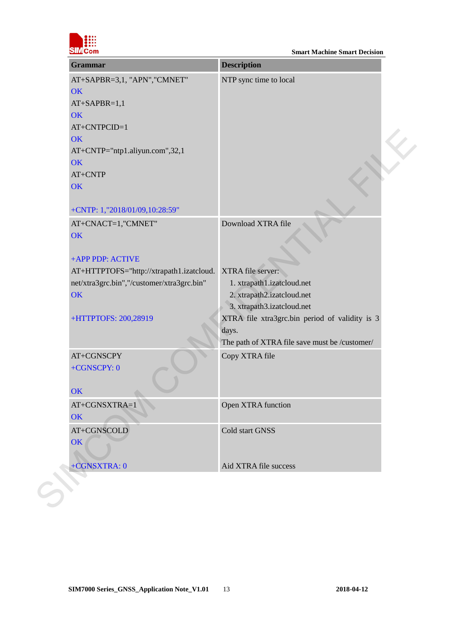

| NTP sync time to local<br>AT+SAPBR=3,1, "APN", "CMNET"<br>OK<br>$AT+SAPBR=1,1$<br>OK<br>AT+CNTP="ntp1.aliyun.com",32,1<br>OK<br>AT+CNTP<br>+CNTP: 1,"2018/01/09,10:28:59"<br>Download XTRA file<br>AT+CNACT=1,"CMNET"<br>+APP PDP: ACTIVE<br>XTRA file server:<br>AT+HTTPTOFS="http://xtrapath1.izatcloud.<br>1. xtrapath1.izatcloud.net<br>2. xtrapath2.izatcloud.net<br>3. xtrapath3.izatcloud.net<br>+HTTPTOFS: 200,28919<br>days.<br>AT+CGNSCPY<br>Copy XTRA file<br>+CGNSCPY: 0<br>OK<br>Open XTRA function<br>AT+CGNSXTRA=1<br>OK<br>Cold start GNSS<br>AT+CGNSCOLD<br>OK<br>+CGNSXTRA: 0<br>Aid XTRA file success | <b>Description</b>                             | <b>Grammar</b> |
|--------------------------------------------------------------------------------------------------------------------------------------------------------------------------------------------------------------------------------------------------------------------------------------------------------------------------------------------------------------------------------------------------------------------------------------------------------------------------------------------------------------------------------------------------------------------------------------------------------------------------|------------------------------------------------|----------------|
|                                                                                                                                                                                                                                                                                                                                                                                                                                                                                                                                                                                                                          |                                                |                |
|                                                                                                                                                                                                                                                                                                                                                                                                                                                                                                                                                                                                                          |                                                |                |
|                                                                                                                                                                                                                                                                                                                                                                                                                                                                                                                                                                                                                          |                                                |                |
| AT+CNTPCID=1                                                                                                                                                                                                                                                                                                                                                                                                                                                                                                                                                                                                             |                                                |                |
| OK                                                                                                                                                                                                                                                                                                                                                                                                                                                                                                                                                                                                                       |                                                |                |
| OK                                                                                                                                                                                                                                                                                                                                                                                                                                                                                                                                                                                                                       |                                                |                |
|                                                                                                                                                                                                                                                                                                                                                                                                                                                                                                                                                                                                                          |                                                |                |
|                                                                                                                                                                                                                                                                                                                                                                                                                                                                                                                                                                                                                          |                                                |                |
|                                                                                                                                                                                                                                                                                                                                                                                                                                                                                                                                                                                                                          |                                                |                |
|                                                                                                                                                                                                                                                                                                                                                                                                                                                                                                                                                                                                                          |                                                |                |
| OK<br>OK                                                                                                                                                                                                                                                                                                                                                                                                                                                                                                                                                                                                                 |                                                |                |
|                                                                                                                                                                                                                                                                                                                                                                                                                                                                                                                                                                                                                          |                                                |                |
| net/xtra3grc.bin","/customer/xtra3grc.bin"                                                                                                                                                                                                                                                                                                                                                                                                                                                                                                                                                                               |                                                |                |
|                                                                                                                                                                                                                                                                                                                                                                                                                                                                                                                                                                                                                          |                                                |                |
|                                                                                                                                                                                                                                                                                                                                                                                                                                                                                                                                                                                                                          |                                                |                |
|                                                                                                                                                                                                                                                                                                                                                                                                                                                                                                                                                                                                                          |                                                |                |
|                                                                                                                                                                                                                                                                                                                                                                                                                                                                                                                                                                                                                          |                                                |                |
|                                                                                                                                                                                                                                                                                                                                                                                                                                                                                                                                                                                                                          |                                                |                |
|                                                                                                                                                                                                                                                                                                                                                                                                                                                                                                                                                                                                                          |                                                |                |
|                                                                                                                                                                                                                                                                                                                                                                                                                                                                                                                                                                                                                          |                                                |                |
|                                                                                                                                                                                                                                                                                                                                                                                                                                                                                                                                                                                                                          | XTRA file xtra3grc.bin period of validity is 3 |                |
|                                                                                                                                                                                                                                                                                                                                                                                                                                                                                                                                                                                                                          |                                                |                |
|                                                                                                                                                                                                                                                                                                                                                                                                                                                                                                                                                                                                                          | The path of XTRA file save must be /customer/  |                |
|                                                                                                                                                                                                                                                                                                                                                                                                                                                                                                                                                                                                                          |                                                |                |
|                                                                                                                                                                                                                                                                                                                                                                                                                                                                                                                                                                                                                          |                                                |                |
|                                                                                                                                                                                                                                                                                                                                                                                                                                                                                                                                                                                                                          |                                                |                |
|                                                                                                                                                                                                                                                                                                                                                                                                                                                                                                                                                                                                                          |                                                |                |
|                                                                                                                                                                                                                                                                                                                                                                                                                                                                                                                                                                                                                          |                                                |                |
|                                                                                                                                                                                                                                                                                                                                                                                                                                                                                                                                                                                                                          |                                                |                |
|                                                                                                                                                                                                                                                                                                                                                                                                                                                                                                                                                                                                                          |                                                |                |
|                                                                                                                                                                                                                                                                                                                                                                                                                                                                                                                                                                                                                          |                                                |                |
|                                                                                                                                                                                                                                                                                                                                                                                                                                                                                                                                                                                                                          |                                                |                |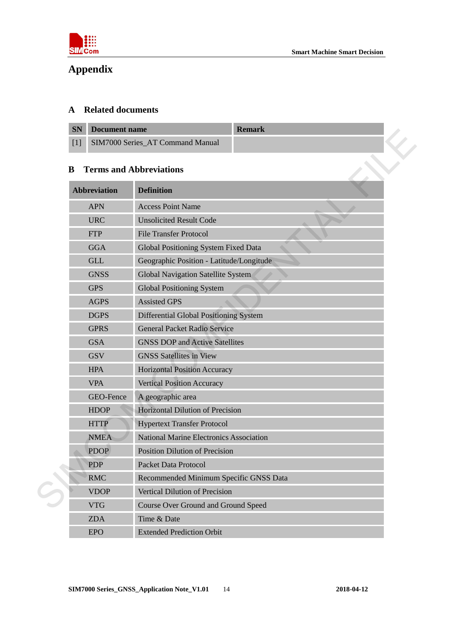

# <span id="page-12-0"></span>**Appendix**

#### <span id="page-12-1"></span>**A Related documents**

| <b>SN</b> Document name              | <b>Remark</b> |
|--------------------------------------|---------------|
| [1] SIM7000 Series AT Command Manual |               |

#### <span id="page-12-2"></span>**B Terms and Abbreviations**

| ЭN    | <b>Document name</b> | <b>Kemark</b>                                  |  |
|-------|----------------------|------------------------------------------------|--|
| $[1]$ |                      | SIM7000 Series_AT Command Manual               |  |
| B     |                      | <b>Terms and Abbreviations</b>                 |  |
|       | <b>Abbreviation</b>  | <b>Definition</b>                              |  |
|       | <b>APN</b>           | <b>Access Point Name</b>                       |  |
|       | <b>URC</b>           | <b>Unsolicited Result Code</b>                 |  |
|       | <b>FTP</b>           | <b>File Transfer Protocol</b>                  |  |
|       | <b>GGA</b>           | Global Positioning System Fixed Data           |  |
|       | <b>GLL</b>           | Geographic Position - Latitude/Longitude       |  |
|       | <b>GNSS</b>          | Global Navigation Satellite System             |  |
|       | <b>GPS</b>           | <b>Global Positioning System</b>               |  |
|       | <b>AGPS</b>          | <b>Assisted GPS</b>                            |  |
|       | <b>DGPS</b>          | <b>Differential Global Positioning System</b>  |  |
|       | <b>GPRS</b>          | <b>General Packet Radio Service</b>            |  |
|       | <b>GSA</b>           | <b>GNSS DOP and Active Satellites</b>          |  |
|       | <b>GSV</b>           | <b>GNSS Satellites in View</b>                 |  |
|       | <b>HPA</b>           | <b>Horizontal Position Accuracy</b>            |  |
|       | <b>VPA</b>           | <b>Vertical Position Accuracy</b>              |  |
|       | GEO-Fence            | A geographic area                              |  |
|       | <b>HDOP</b>          | Horizontal Dilution of Precision               |  |
|       | <b>HTTP</b>          | <b>Hypertext Transfer Protocol</b>             |  |
|       | <b>NMEA</b>          | <b>National Marine Electronics Association</b> |  |
|       | <b>PDOP</b>          | <b>Position Dilution of Precision</b>          |  |
|       | <b>PDP</b>           | <b>Packet Data Protocol</b>                    |  |
|       | <b>RMC</b>           | Recommended Minimum Specific GNSS Data         |  |
|       | <b>VDOP</b>          | Vertical Dilution of Precision                 |  |
|       | <b>VTG</b>           | Course Over Ground and Ground Speed            |  |
|       | <b>ZDA</b>           | Time & Date                                    |  |
|       | <b>EPO</b>           | <b>Extended Prediction Orbit</b>               |  |